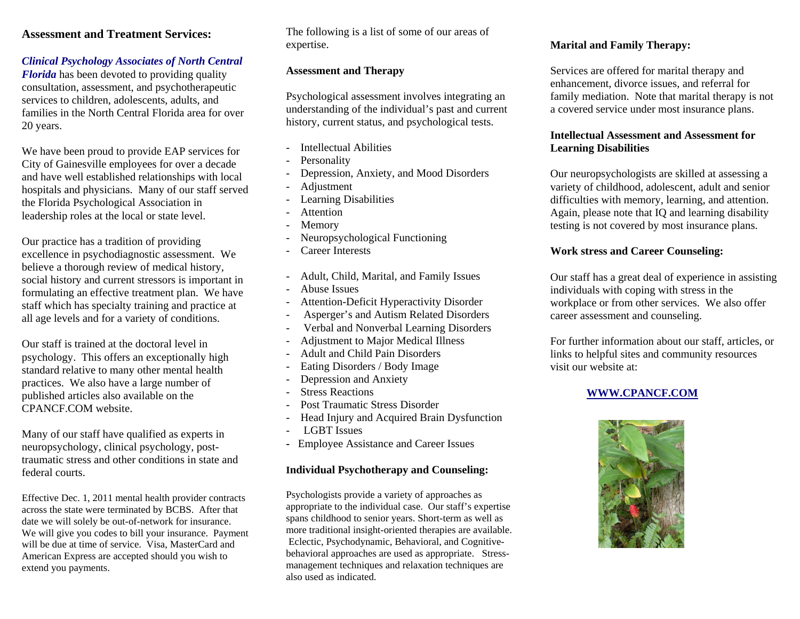#### **Assessment and Treatment Services:**

#### *Clinical Psychology Associates of North Central*

*Florida* has been devoted to providing quality consultation, assessment, and psychotherapeutic services to children, adolescents, adults, and families in the North Central Florida area for over 20 years.

We have been proud to provide EAP services for City of Gainesville employees for over a decade and have well established relationships with local hospitals and physicians. Many of our staff served the Florida Psychological Association in leadership roles at the local or state level.

Our practice has a tradition of providing excellence in psychodiagnostic assessment. We believe a thorough review of medical history, social history and current stressors is important in formulating an effective treatment plan. We have staff which has specialty training and practice at all age levels and for a variety of conditions.

Our staff is trained at the doctoral level in psychology. This offers an exceptionally high standard relative to many other mental health practices. We also have a large number of published articles also available on the CPANCF.COM website.

Many of our staff have qualified as experts in neuropsychology, clinical psychology, posttraumatic stress and other conditions in state and federal courts.

Effective Dec. 1, 2011 mental health provider contracts across the state were terminated by BCBS. After that date we will solely be out-of-network for insurance. We will give you codes to bill your insurance. Payment will be due at time of service. Visa, MasterCard and American Express are accepted should you wish to extend you payments.

The following is a list of some of our areas of expertise.

#### **Assessment and Therapy**

Psychological assessment involves integrating an understanding of the individual's past and current history, current status, and psychological tests.

- Intellectual Abilities
- Personality
- Depression, Anxiety, and Mood Disorders
- Adjustment
- Learning Disabilities
- **Attention**
- **Memory**
- Neuropsychological Functioning
- Career Interests
- Adult, Child, Marital, and Family Issues
- Abuse Issues
- Attention-Deficit Hyperactivity Disorder
- Asperger's and Autism Related Disorders
- Verbal and Nonverbal Learning Disorders
- Adjustment to Major Medical Illness
- Adult and Child Pain Disorders
- Eating Disorders / Body Image
- Depression and Anxiety
- **Stress Reactions**
- Post Traumatic Stress Disorder
- Head Injury and Acquired Brain Dysfunction
- LGBT Issues
- Employee Assistance and Career Issues

## **Individual Psychotherapy and Counseling:**

Psychologists provide a variety of approaches as appropriate to the individual case. Our staff's expertise spans childhood to senior years. Short-term as well as more traditional insight-oriented therapies are available. Eclectic, Psychodynamic, Behavioral, and Cognitivebehavioral approaches are used as appropriate. Stressmanagement techniques and relaxation techniques are also used as indicated.

#### **Marital and Family Therapy:**

Services are offered for marital therapy and enhancement, divorce issues, and referral for family mediation. Note that marital therapy is not a covered service under most insurance plans.

#### **Intellectual Assessment and Assessment for Learning Disabilities**

Our neuropsychologists are skilled at assessing a variety of childhood, adolescent, adult and senior difficulties with memory, learning, and attention. Again, please note that IQ and learning disability testing is not covered by most insurance plans.

## **Work stress and Career Counseling:**

Our staff has a great deal of experience in assisting individuals with coping with stress in the workplace or from other services. We also offer career assessment and counseling.

For further information about our staff, articles, or links to helpful sites and community resources visit our website at:

## **WWW.CPANCF.COM**